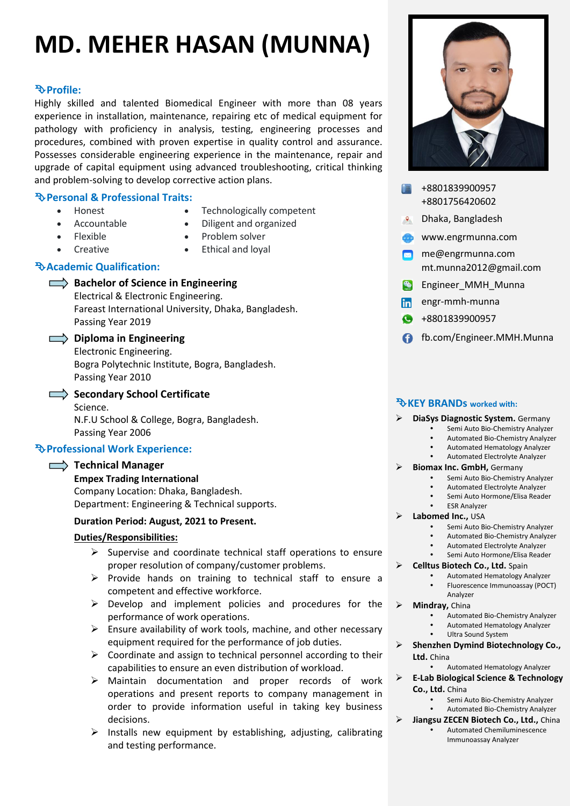# **MD. MEHER HASAN (MUNNA)**

# **Profile:**

Highly skilled and talented Biomedical Engineer with more than 08 years experience in installation, maintenance, repairing etc of medical equipment for pathology with proficiency in analysis, testing, engineering processes and procedures, combined with proven expertise in quality control and assurance. Possesses considerable engineering experience in the maintenance, repair and upgrade of capital equipment using advanced troubleshooting, critical thinking and problem-solving to develop corrective action plans.

# **Personal & Professional Traits:**

- Honest
- Accountable
- Flexible
- Creative
- Technologically competent
- Diligent and organized
- Problem solver
- Ethical and loyal

# **Academic Qualification:**

- **Bachelor of Science in Engineering** 
	- Electrical & Electronic Engineering. Fareast International University, Dhaka, Bangladesh. Passing Year 2019

## **Diploma in Engineering**

- Electronic Engineering. Bogra Polytechnic Institute, Bogra, Bangladesh.
- Passing Year 2010
- 

Secondary School Certificate Science. N.F.U School & College, Bogra, Bangladesh. Passing Year 2006

# **Professional Work Experience:**

# Technical Manager

**Empex Trading International** Company Location: Dhaka, Bangladesh. Department: Engineering & Technical supports.

# **Duration Period: August, 2021 to Present.**

### **Duties/Responsibilities:**

- $\triangleright$  Supervise and coordinate technical staff operations to ensure proper resolution of company/customer problems.
- $\triangleright$  Provide hands on training to technical staff to ensure a competent and effective workforce.
- $\triangleright$  Develop and implement policies and procedures for the performance of work operations.
- $\triangleright$  Ensure availability of work tools, machine, and other necessary equipment required for the performance of job duties.
- $\triangleright$  Coordinate and assign to technical personnel according to their capabilities to ensure an even distribution of workload.
- Maintain documentation and proper records of work operations and present reports to company management in order to provide information useful in taking key business decisions.
- $\triangleright$  Installs new equipment by establishing, adjusting, calibrating and testing performance.



- +8801839900957 +8801756420602
- Dhaka, Bangladesh
- www.engrmunna.com
- **M** me@engrmunna.com mt.munna2012@gmail.com
- **Engineer\_MMH\_Munna**
- engr-mmh-munna
- +8801839900957
- fb.com/Engineer.MMH.Munna

## **KEY BRANDs worked with:**

#### **DiaSys Diagnostic System.** Germany

- Semi Auto Bio-Chemistry Analyzer
- Automated Bio-Chemistry Analyzer
- Automated Hematology Analyzer
- Automated Electrolyte Analyzer

# **Biomax Inc. GmbH,** Germany

- Semi Auto Bio-Chemistry Analyzer Automated Electrolyte Analyzer
- 
- Semi Auto Hormone/Elisa Reader ESR Analyzer
- **Labomed Inc.,** USA
	- Semi Auto Bio-Chemistry Analyzer
	- Automated Bio-Chemistry Analyzer
	- Automated Electrolyte Analyzer
- Semi Auto Hormone/Elisa Reader **Celltus Biotech Co., Ltd.** Spain
	- Automated Hematology Analyzer
		- Fluorescence Immunoassay (POCT) Analyzer
- **Mindray,** China
	- Automated Bio-Chemistry Analyzer
	- Automated Hematology Analyzer
	- Ultra Sound System
- **Shenzhen Dymind Biotechnology Co., Ltd.** China
	- Automated Hematology Analyzer
- **E-Lab Biological Science & Technology Co., Ltd.** China
	- Semi Auto Bio-Chemistry Analyzer Automated Bio-Chemistry Analyzer
- **Jiangsu ZECEN Biotech Co., Ltd.,** China Automated Chemiluminescence Immunoassay Analyzer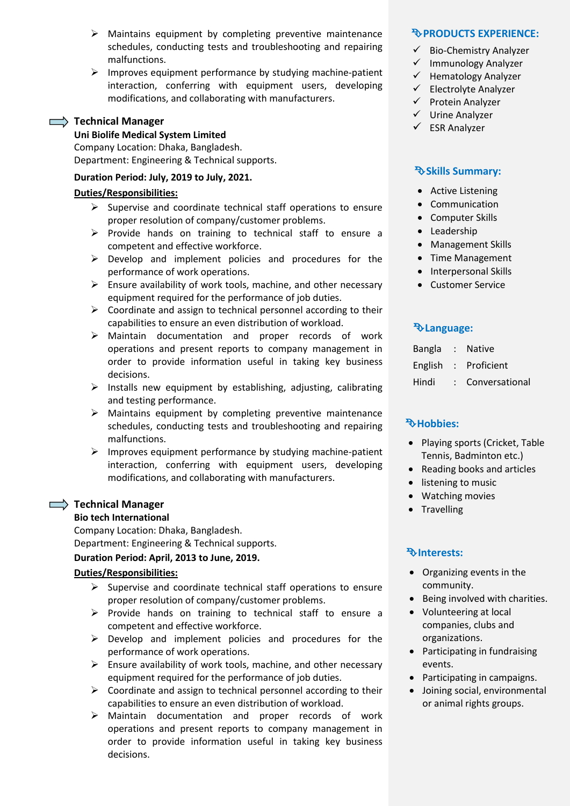- $\triangleright$  Maintains equipment by completing preventive maintenance schedules, conducting tests and troubleshooting and repairing malfunctions.
- $\triangleright$  Improves equipment performance by studying machine-patient interaction, conferring with equipment users, developing modifications, and collaborating with manufacturers.

### Technical Manager

#### **Uni Biolife Medical System Limited**

Company Location: Dhaka, Bangladesh. Department: Engineering & Technical supports.

#### **Duration Period: July, 2019 to July, 2021.**

#### **Duties/Responsibilities:**

- $\triangleright$  Supervise and coordinate technical staff operations to ensure proper resolution of company/customer problems.
- $\triangleright$  Provide hands on training to technical staff to ensure a competent and effective workforce.
- $\triangleright$  Develop and implement policies and procedures for the performance of work operations.
- $\triangleright$  Ensure availability of work tools, machine, and other necessary equipment required for the performance of job duties.
- $\triangleright$  Coordinate and assign to technical personnel according to their capabilities to ensure an even distribution of workload.
- Maintain documentation and proper records of work operations and present reports to company management in order to provide information useful in taking key business decisions.
- $\triangleright$  Installs new equipment by establishing, adjusting, calibrating and testing performance.
- $\triangleright$  Maintains equipment by completing preventive maintenance schedules, conducting tests and troubleshooting and repairing malfunctions.
- $\triangleright$  Improves equipment performance by studying machine-patient interaction, conferring with equipment users, developing modifications, and collaborating with manufacturers.

### **Technical Manager**

#### **Bio tech International**

Company Location: Dhaka, Bangladesh.

Department: Engineering & Technical supports.

#### **Duration Period: April, 2013 to June, 2019.**

### **Duties/Responsibilities:**

- $\triangleright$  Supervise and coordinate technical staff operations to ensure proper resolution of company/customer problems.
- $\triangleright$  Provide hands on training to technical staff to ensure a competent and effective workforce.
- $\triangleright$  Develop and implement policies and procedures for the performance of work operations.
- $\triangleright$  Ensure availability of work tools, machine, and other necessary equipment required for the performance of job duties.
- $\triangleright$  Coordinate and assign to technical personnel according to their capabilities to ensure an even distribution of workload.
- Maintain documentation and proper records of work operations and present reports to company management in order to provide information useful in taking key business decisions.

#### **PRODUCTS EXPERIENCE:**

- $\checkmark$  Bio-Chemistry Analyzer
- $\checkmark$  Immunology Analyzer
- $\checkmark$  Hematology Analyzer
- $\checkmark$  Electrolyte Analyzer
- $\checkmark$  Protein Analyzer
- $\checkmark$  Urine Analyzer
- $\checkmark$  ESR Analyzer

## **Skills Summary:**

- Active Listening
- Communication
- Computer Skills
- Leadership
- Management Skills
- Time Management
- Interpersonal Skills
- Customer Service

## **Language:**

| <b>Bangla</b> |  | <b>Native</b> |
|---------------|--|---------------|
|---------------|--|---------------|

- English : Proficient
	- Hindi : Conversational

# **Hobbies:**

- Playing sports (Cricket, Table Tennis, Badminton etc.)
- Reading books and articles
- listening to music
- Watching movies
- Travelling

### **Interests:**

- Organizing events in the community.
- Being involved with charities.
- Volunteering at local companies, clubs and organizations.
- Participating in fundraising events.
- Participating in campaigns.
- Joining social, environmental or animal rights groups.